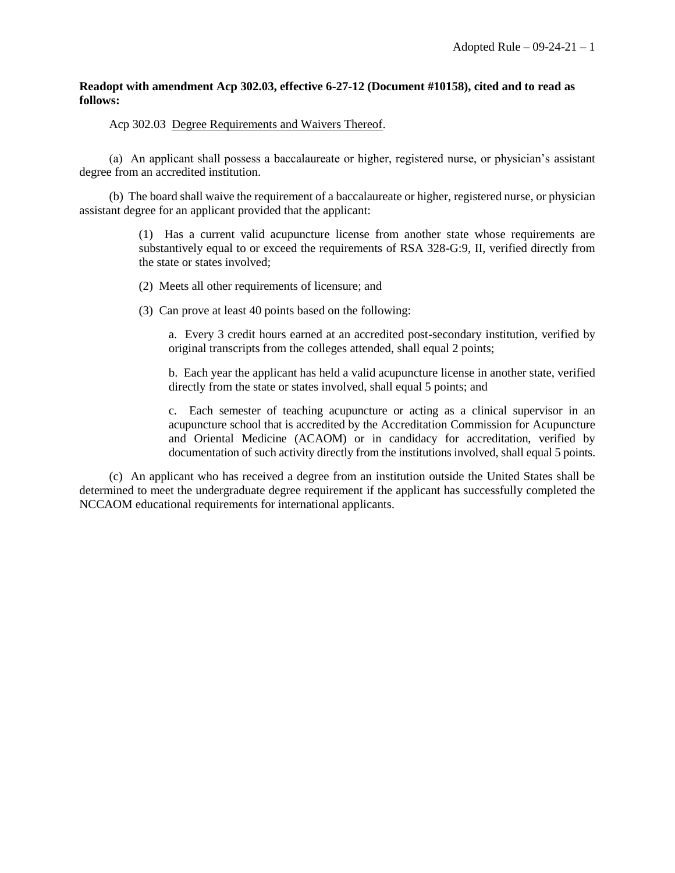## **Readopt with amendment Acp 302.03, effective 6-27-12 (Document #10158), cited and to read as follows:**

## Acp 302.03 Degree Requirements and Waivers Thereof.

(a) An applicant shall possess a baccalaureate or higher, registered nurse, or physician's assistant degree from an accredited institution.

(b) The board shall waive the requirement of a baccalaureate or higher, registered nurse, or physician assistant degree for an applicant provided that the applicant:

> (1) Has a current valid acupuncture license from another state whose requirements are substantively equal to or exceed the requirements of RSA 328-G:9, II, verified directly from the state or states involved;

- (2) Meets all other requirements of licensure; and
- (3) Can prove at least 40 points based on the following:

a. Every 3 credit hours earned at an accredited post-secondary institution, verified by original transcripts from the colleges attended, shall equal 2 points;

b. Each year the applicant has held a valid acupuncture license in another state, verified directly from the state or states involved, shall equal 5 points; and

c. Each semester of teaching acupuncture or acting as a clinical supervisor in an acupuncture school that is accredited by the Accreditation Commission for Acupuncture and Oriental Medicine (ACAOM) or in candidacy for accreditation, verified by documentation of such activity directly from the institutions involved, shall equal 5 points.

(c) An applicant who has received a degree from an institution outside the United States shall be determined to meet the undergraduate degree requirement if the applicant has successfully completed the NCCAOM educational requirements for international applicants.